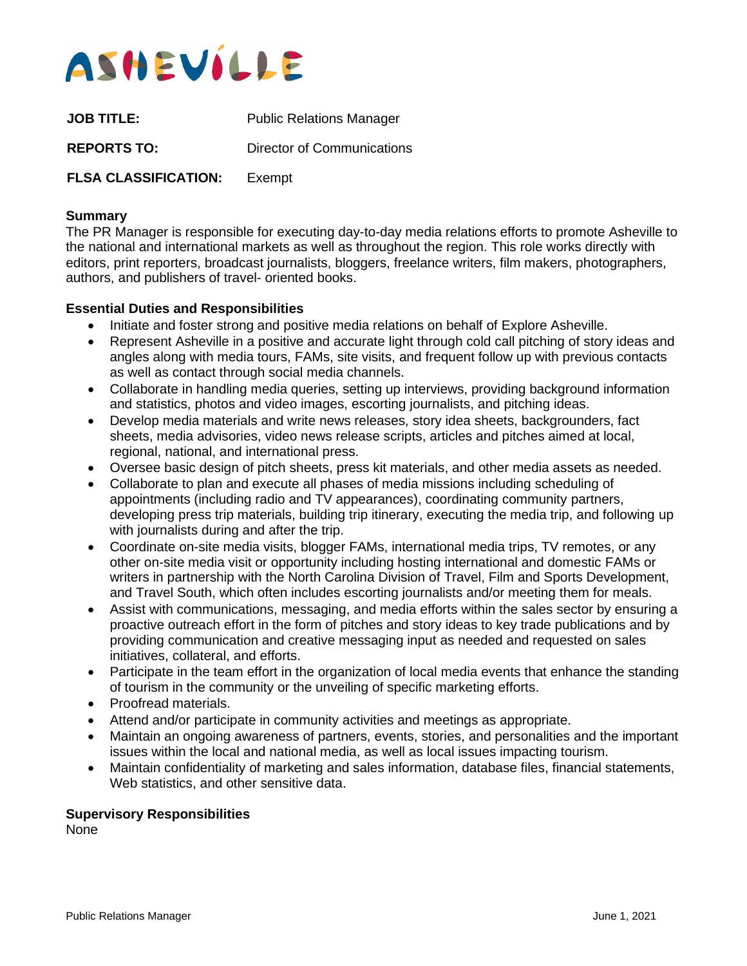

| <b>JOB TITLE:</b>           | <b>Public Relations Manager</b> |
|-----------------------------|---------------------------------|
| <b>REPORTS TO:</b>          | Director of Communications      |
| <b>FLSA CLASSIFICATION:</b> | Exempt                          |

## **Summary**

The PR Manager is responsible for executing day-to-day media relations efforts to promote Asheville to the national and international markets as well as throughout the region. This role works directly with editors, print reporters, broadcast journalists, bloggers, freelance writers, film makers, photographers, authors, and publishers of travel- oriented books.

#### **Essential Duties and Responsibilities**

- Initiate and foster strong and positive media relations on behalf of Explore Asheville.
- Represent Asheville in a positive and accurate light through cold call pitching of story ideas and angles along with media tours, FAMs, site visits, and frequent follow up with previous contacts as well as contact through social media channels.
- Collaborate in handling media queries, setting up interviews, providing background information and statistics, photos and video images, escorting journalists, and pitching ideas.
- Develop media materials and write news releases, story idea sheets, backgrounders, fact sheets, media advisories, video news release scripts, articles and pitches aimed at local, regional, national, and international press.
- Oversee basic design of pitch sheets, press kit materials, and other media assets as needed.
- Collaborate to plan and execute all phases of media missions including scheduling of appointments (including radio and TV appearances), coordinating community partners, developing press trip materials, building trip itinerary, executing the media trip, and following up with journalists during and after the trip.
- Coordinate on-site media visits, blogger FAMs, international media trips, TV remotes, or any other on-site media visit or opportunity including hosting international and domestic FAMs or writers in partnership with the North Carolina Division of Travel, Film and Sports Development, and Travel South, which often includes escorting journalists and/or meeting them for meals.
- Assist with communications, messaging, and media efforts within the sales sector by ensuring a proactive outreach effort in the form of pitches and story ideas to key trade publications and by providing communication and creative messaging input as needed and requested on sales initiatives, collateral, and efforts.
- Participate in the team effort in the organization of local media events that enhance the standing of tourism in the community or the unveiling of specific marketing efforts.
- Proofread materials.
- Attend and/or participate in community activities and meetings as appropriate.
- Maintain an ongoing awareness of partners, events, stories, and personalities and the important issues within the local and national media, as well as local issues impacting tourism.
- Maintain confidentiality of marketing and sales information, database files, financial statements, Web statistics, and other sensitive data.

#### **Supervisory Responsibilities**

None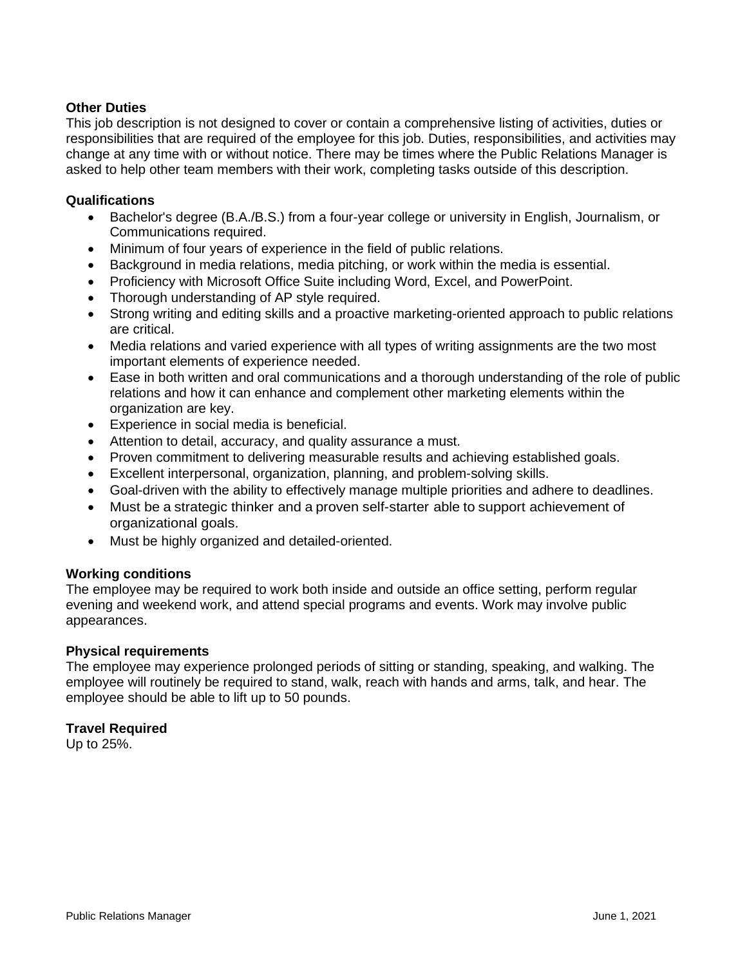# **Other Duties**

This job description is not designed to cover or contain a comprehensive listing of activities, duties or responsibilities that are required of the employee for this job. Duties, responsibilities, and activities may change at any time with or without notice. There may be times where the Public Relations Manager is asked to help other team members with their work, completing tasks outside of this description.

## **Qualifications**

- Bachelor's degree (B.A./B.S.) from a four-year college or university in English, Journalism, or Communications required.
- Minimum of four years of experience in the field of public relations.
- Background in media relations, media pitching, or work within the media is essential.
- Proficiency with Microsoft Office Suite including Word, Excel, and PowerPoint.
- Thorough understanding of AP style required.
- Strong writing and editing skills and a proactive marketing-oriented approach to public relations are critical.
- Media relations and varied experience with all types of writing assignments are the two most important elements of experience needed.
- Ease in both written and oral communications and a thorough understanding of the role of public relations and how it can enhance and complement other marketing elements within the organization are key.
- Experience in social media is beneficial.
- Attention to detail, accuracy, and quality assurance a must.
- Proven commitment to delivering measurable results and achieving established goals.
- Excellent interpersonal, organization, planning, and problem-solving skills.
- Goal-driven with the ability to effectively manage multiple priorities and adhere to deadlines.
- Must be a strategic thinker and a proven self-starter able to support achievement of organizational goals.
- Must be highly organized and detailed-oriented.

## **Working conditions**

The employee may be required to work both inside and outside an office setting, perform regular evening and weekend work, and attend special programs and events. Work may involve public appearances.

## **Physical requirements**

The employee may experience prolonged periods of sitting or standing, speaking, and walking. The employee will routinely be required to stand, walk, reach with hands and arms, talk, and hear. The employee should be able to lift up to 50 pounds.

## **Travel Required**

Up to 25%.